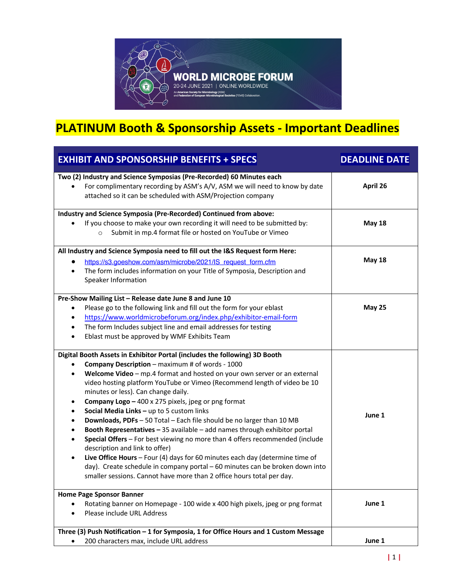

## **PLATINUM Booth & Sponsorship Assets - Important Deadlines**

| <b>EXHIBIT AND SPONSORSHIP BENEFITS + SPECS</b>                                                                                                                                                                                                                                                                                                                                                                                                                                                                                                                                                                                                                                                                                                                                                                                                                                                                                                                                                                                        | <b>DEADLINE DATE</b> |
|----------------------------------------------------------------------------------------------------------------------------------------------------------------------------------------------------------------------------------------------------------------------------------------------------------------------------------------------------------------------------------------------------------------------------------------------------------------------------------------------------------------------------------------------------------------------------------------------------------------------------------------------------------------------------------------------------------------------------------------------------------------------------------------------------------------------------------------------------------------------------------------------------------------------------------------------------------------------------------------------------------------------------------------|----------------------|
| Two (2) Industry and Science Symposias (Pre-Recorded) 60 Minutes each<br>For complimentary recording by ASM's A/V, ASM we will need to know by date<br>$\bullet$<br>attached so it can be scheduled with ASM/Projection company                                                                                                                                                                                                                                                                                                                                                                                                                                                                                                                                                                                                                                                                                                                                                                                                        | April 26             |
| Industry and Science Symposia (Pre-Recorded) Continued from above:<br>If you choose to make your own recording it will need to be submitted by:<br>Submit in mp.4 format file or hosted on YouTube or Vimeo<br>$\circ$                                                                                                                                                                                                                                                                                                                                                                                                                                                                                                                                                                                                                                                                                                                                                                                                                 | <b>May 18</b>        |
| All Industry and Science Symposia need to fill out the I&S Request form Here:<br>https://s3.goeshow.com/asm/microbe/2021/IS request form.cfm<br>The form includes information on your Title of Symposia, Description and<br>$\bullet$<br>Speaker Information                                                                                                                                                                                                                                                                                                                                                                                                                                                                                                                                                                                                                                                                                                                                                                           | <b>May 18</b>        |
| Pre-Show Mailing List - Release date June 8 and June 10<br>Please go to the following link and fill out the form for your eblast<br>٠<br>https://www.worldmicrobeforum.org/index.php/exhibitor-email-form<br>$\bullet$<br>The form Includes subject line and email addresses for testing<br>$\bullet$<br>Eblast must be approved by WMF Exhibits Team<br>$\bullet$                                                                                                                                                                                                                                                                                                                                                                                                                                                                                                                                                                                                                                                                     | <b>May 25</b>        |
| Digital Booth Assets in Exhibitor Portal (includes the following) 3D Booth<br>Company Description - maximum # of words - 1000<br>٠<br>Welcome Video - mp.4 format and hosted on your own server or an external<br>$\bullet$<br>video hosting platform YouTube or Vimeo (Recommend length of video be 10<br>minutes or less). Can change daily.<br>Company Logo - 400 x 275 pixels, jpeg or png format<br>Social Media Links - up to 5 custom links<br>$\bullet$<br>Downloads, PDFs - 50 Total - Each file should be no larger than 10 MB<br>$\bullet$<br>Booth Representatives - 35 available - add names through exhibitor portal<br>$\bullet$<br>Special Offers - For best viewing no more than 4 offers recommended (include<br>$\bullet$<br>description and link to offer)<br>Live Office Hours $-$ Four (4) days for 60 minutes each day (determine time of<br>$\bullet$<br>day). Create schedule in company portal - 60 minutes can be broken down into<br>smaller sessions. Cannot have more than 2 office hours total per day. | June 1               |
| <b>Home Page Sponsor Banner</b><br>Rotating banner on Homepage - 100 wide x 400 high pixels, jpeg or png format<br>Please include URL Address                                                                                                                                                                                                                                                                                                                                                                                                                                                                                                                                                                                                                                                                                                                                                                                                                                                                                          | June 1               |
| Three (3) Push Notification - 1 for Symposia, 1 for Office Hours and 1 Custom Message<br>200 characters max, include URL address                                                                                                                                                                                                                                                                                                                                                                                                                                                                                                                                                                                                                                                                                                                                                                                                                                                                                                       | June 1               |